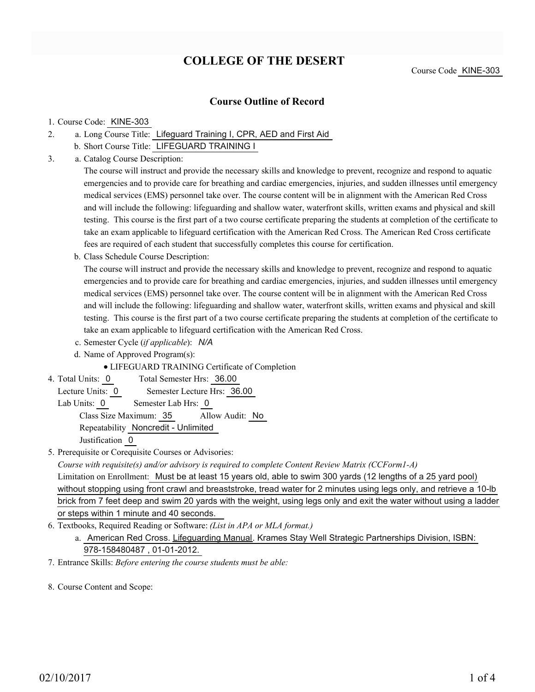# **COLLEGE OF THE DESERT**

### **Course Outline of Record**

#### 1. Course Code: KINE-303

- a. Long Course Title: Lifeguard Training I, CPR, AED and First Aid 2.
	- b. Short Course Title: LIFEGUARD TRAINING I
- Catalog Course Description: a. 3.

The course will instruct and provide the necessary skills and knowledge to prevent, recognize and respond to aquatic emergencies and to provide care for breathing and cardiac emergencies, injuries, and sudden illnesses until emergency medical services (EMS) personnel take over. The course content will be in alignment with the American Red Cross and will include the following: lifeguarding and shallow water, waterfront skills, written exams and physical and skill testing. This course is the first part of a two course certificate preparing the students at completion of the certificate to take an exam applicable to lifeguard certification with the American Red Cross. The American Red Cross certificate fees are required of each student that successfully completes this course for certification.

b. Class Schedule Course Description:

The course will instruct and provide the necessary skills and knowledge to prevent, recognize and respond to aquatic emergencies and to provide care for breathing and cardiac emergencies, injuries, and sudden illnesses until emergency medical services (EMS) personnel take over. The course content will be in alignment with the American Red Cross and will include the following: lifeguarding and shallow water, waterfront skills, written exams and physical and skill testing. This course is the first part of a two course certificate preparing the students at completion of the certificate to take an exam applicable to lifeguard certification with the American Red Cross.

- c. Semester Cycle (*if applicable*): *N/A*
- d. Name of Approved Program(s):
	- LIFEGUARD TRAINING Certificate of Completion
- Total Semester Hrs: 36.00 4. Total Units: 0

Lecture Units: 0 Semester Lecture Hrs: 36.00

- Lab Units: 0 Semester Lab Hrs: 0 Class Size Maximum: 35 Allow Audit: No Repeatability Noncredit - Unlimited Justification 0
- 5. Prerequisite or Corequisite Courses or Advisories:

*Course with requisite(s) and/or advisory is required to complete Content Review Matrix (CCForm1-A)* Limitation on Enrollment: Must be at least 15 years old, able to swim 300 yards (12 lengths of a 25 yard pool) without stopping using front crawl and breaststroke, tread water for 2 minutes using legs only, and retrieve a 10-lb brick from 7 feet deep and swim 20 yards with the weight, using legs only and exit the water without using a ladder or steps within 1 minute and 40 seconds.

- Textbooks, Required Reading or Software: *(List in APA or MLA format.)* 6.
	- a. American Red Cross. Lifeguarding Manual. Krames Stay Well Strategic Partnerships Division, ISBN: 978-158480487 , 01-01-2012.
- 7. Entrance Skills: *Before entering the course students must be able:*
- 8. Course Content and Scope: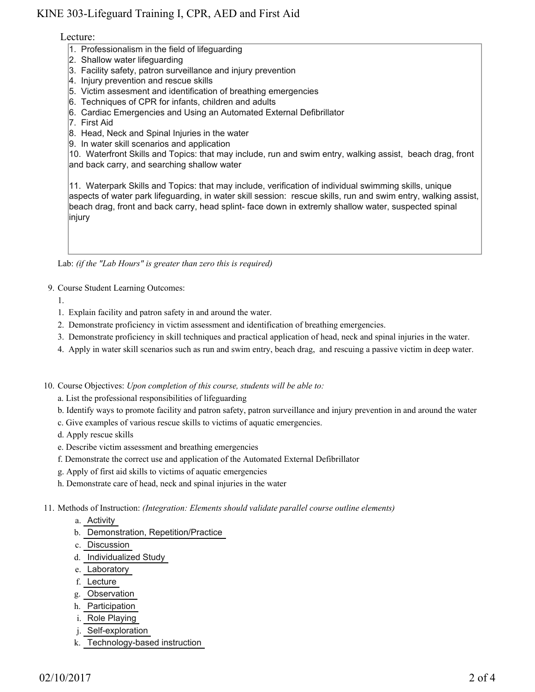## KINE 303-Lifeguard Training I, CPR, AED and First Aid

### Lecture:

- 1. Professionalism in the field of lifeguarding
- 2. Shallow water lifeguarding
- 3. Facility safety, patron surveillance and injury prevention
- 4. Injury prevention and rescue skills
- 5. Victim assesment and identification of breathing emergencies
- 6. Techniques of CPR for infants, children and adults
- 6. Cardiac Emergencies and Using an Automated External Defibrillator
- 7. First Aid
- 8. Head, Neck and Spinal Injuries in the water
- 9. In water skill scenarios and application

10. Waterfront Skills and Topics: that may include, run and swim entry, walking assist, beach drag, front and back carry, and searching shallow water

11. Waterpark Skills and Topics: that may include, verification of individual swimming skills, unique aspects of water park lifeguarding, in water skill session: rescue skills, run and swim entry, walking assist, beach drag, front and back carry, head splint- face down in extremly shallow water, suspected spinal injury

Lab: *(if the "Lab Hours" is greater than zero this is required)*

- 9. Course Student Learning Outcomes:
	- 1.
	- 1. Explain facility and patron safety in and around the water.
	- 2. Demonstrate proficiency in victim assessment and identification of breathing emergencies.
	- 3. Demonstrate proficiency in skill techniques and practical application of head, neck and spinal injuries in the water.
	- 4. Apply in water skill scenarios such as run and swim entry, beach drag, and rescuing a passive victim in deep water.

10. Course Objectives: Upon completion of this course, students will be able to:

- a. List the professional responsibilities of lifeguarding
- b. Identify ways to promote facility and patron safety, patron surveillance and injury prevention in and around the water
- c. Give examples of various rescue skills to victims of aquatic emergencies.
- d. Apply rescue skills
- e. Describe victim assessment and breathing emergencies
- f. Demonstrate the correct use and application of the Automated External Defibrillator
- g. Apply of first aid skills to victims of aquatic emergencies
- h. Demonstrate care of head, neck and spinal injuries in the water
- Methods of Instruction: *(Integration: Elements should validate parallel course outline elements)* 11.
	- a. Activity
	- b. Demonstration, Repetition/Practice
	- c. Discussion
	- d. Individualized Study
	- e. Laboratory
	- f. Lecture
	- g. Observation
	- h. Participation
	- i. Role Playing
	- j. Self-exploration
	- k. Technology-based instruction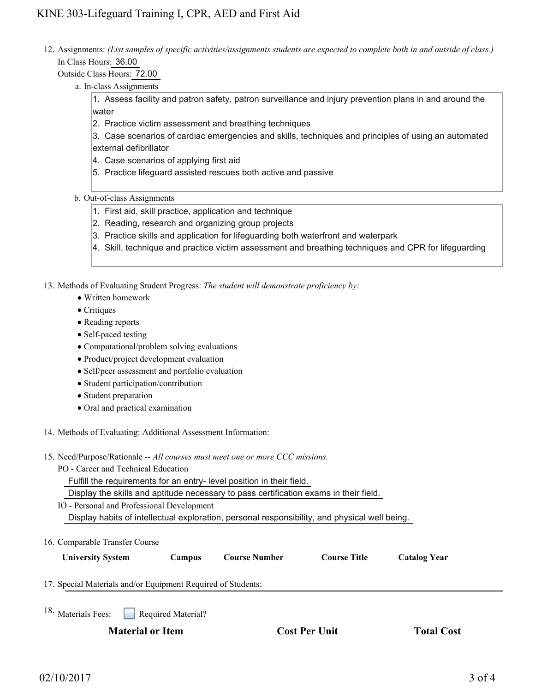12. Assignments: (List samples of specific activities/assignments students are expected to complete both in and outside of class.) In Class Hours: 36.00

Outside Class Hours: 72.00

a. In-class Assignments

1. Assess facility and patron safety, patron surveillance and injury prevention plans in and around the water

2. Practice victim assessment and breathing techniques

3. Case scenarios of cardiac emergencies and skills, techniques and principles of using an automated external defibrillator

- 4. Case scenarios of applying first aid
- 5. Practice lifeguard assisted rescues both active and passive
- b. Out-of-class Assignments
	- 1. First aid, skill practice, application and technique
	- 2. Reading, research and organizing group projects
	- 3. Practice skills and application for lifeguarding both waterfront and waterpark
	- 4. Skill, technique and practice victim assessment and breathing techniques and CPR for lifeguarding

13. Methods of Evaluating Student Progress: The student will demonstrate proficiency by:

- Written homework
- Critiques
- Reading reports
- Self-paced testing
- Computational/problem solving evaluations
- Product/project development evaluation
- Self/peer assessment and portfolio evaluation
- Student participation/contribution
- Student preparation
- Oral and practical examination
- 14. Methods of Evaluating: Additional Assessment Information:
- 15. Need/Purpose/Rationale -- All courses must meet one or more CCC missions.
	- PO Career and Technical Education

Fulfill the requirements for an entry- level position in their field.

Display the skills and aptitude necessary to pass certification exams in their field.

IO - Personal and Professional Development Display habits of intellectual exploration, personal responsibility, and physical well being.

| 16. Comparable Transfer Course                               |                    |                      |                     |                     |  |
|--------------------------------------------------------------|--------------------|----------------------|---------------------|---------------------|--|
| <b>University System</b>                                     | Campus             | <b>Course Number</b> | <b>Course Title</b> | <b>Catalog Year</b> |  |
| 17. Special Materials and/or Equipment Required of Students: |                    |                      |                     |                     |  |
| 18. Materials Fees:                                          | Required Material? |                      |                     |                     |  |
| <b>Material or Item</b>                                      |                    |                      | Cost Per Unit       |                     |  |